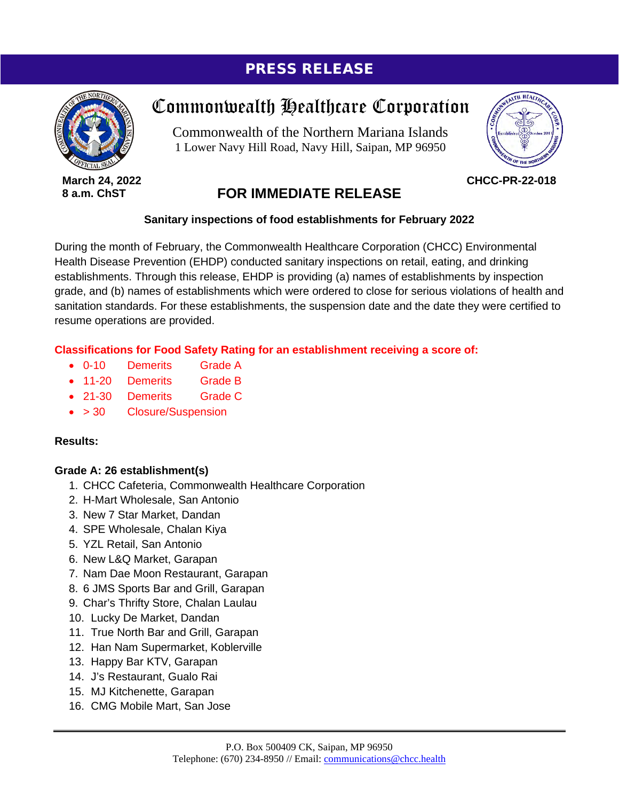# PRESS RELEASE



**March 24, 2022 8 a.m. ChST**

# Commonwealth Healthcare Corporation

Commonwealth of the Northern Mariana Islands 1 Lower Navy Hill Road, Navy Hill, Saipan, MP 96950



**CHCC-PR-22-018**

# **FOR IMMEDIATE RELEASE**

## **Sanitary inspections of food establishments for February 2022**

During the month of February, the Commonwealth Healthcare Corporation (CHCC) Environmental Health Disease Prevention (EHDP) conducted sanitary inspections on retail, eating, and drinking establishments. Through this release, EHDP is providing (a) names of establishments by inspection grade, and (b) names of establishments which were ordered to close for serious violations of health and sanitation standards. For these establishments, the suspension date and the date they were certified to resume operations are provided.

## **Classifications for Food Safety Rating for an establishment receiving a score of:**

- 0-10 Demerits Grade A
- 11-20 Demerits Grade B
- 21-30 Demerits Grade C
- > 30 Closure/Suspension

## **Results:**

## **Grade A: 26 establishment(s)**

- 1. CHCC Cafeteria, Commonwealth Healthcare Corporation
- 2. H-Mart Wholesale, San Antonio
- 3. New 7 Star Market, Dandan
- 4. SPE Wholesale, Chalan Kiya
- 5. YZL Retail, San Antonio
- 6. New L&Q Market, Garapan
- 7. Nam Dae Moon Restaurant, Garapan
- 8. 6 JMS Sports Bar and Grill, Garapan
- 9. Char's Thrifty Store, Chalan Laulau
- 10. Lucky De Market, Dandan
- 11. True North Bar and Grill, Garapan
- 12. Han Nam Supermarket, Koblerville
- 13. Happy Bar KTV, Garapan
- 14. J's Restaurant, Gualo Rai
- 15. MJ Kitchenette, Garapan
- 16. CMG Mobile Mart, San Jose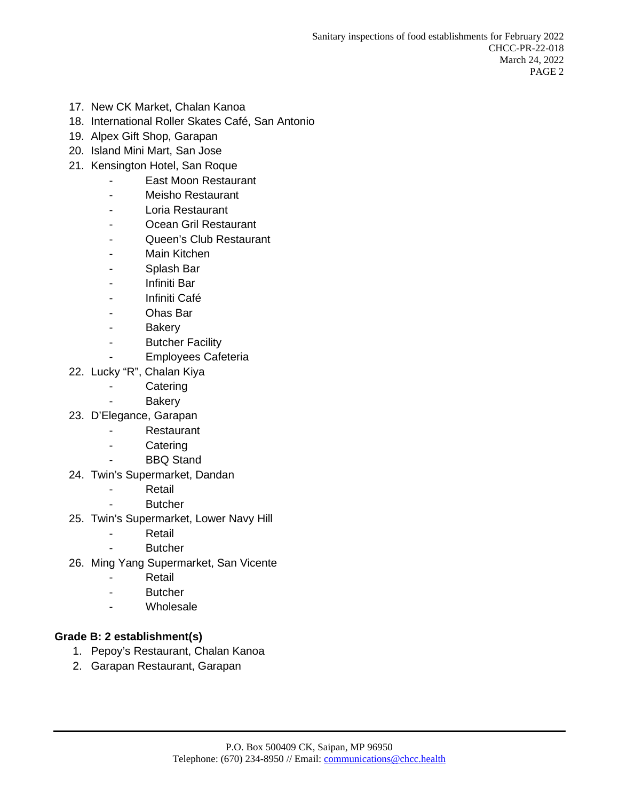- 17. New CK Market, Chalan Kanoa
- 18. International Roller Skates Café, San Antonio
- 19. Alpex Gift Shop, Garapan
- 20. Island Mini Mart, San Jose
- 21. Kensington Hotel, San Roque
	- East Moon Restaurant
	- Meisho Restaurant
	- Loria Restaurant
	- Ocean Gril Restaurant
	- Queen's Club Restaurant
	- Main Kitchen
	- Splash Bar
	- Infiniti Bar
	- Infiniti Café
	- Ohas Bar
	- Bakery
	- Butcher Facility
	- Employees Cafeteria
- 22. Lucky "R", Chalan Kiya
	- Catering
	- Bakery
- 23. D'Elegance, Garapan
	- Restaurant
	- Catering
	- BBQ Stand
- 24. Twin's Supermarket, Dandan
	- Retail
	- Butcher
- 25. Twin's Supermarket, Lower Navy Hill
	- Retail
	- Butcher
- 26. Ming Yang Supermarket, San Vicente
	- Retail
	- Butcher
	- Wholesale

#### **Grade B: 2 establishment(s)**

- 1. Pepoy's Restaurant, Chalan Kanoa
- 2. Garapan Restaurant, Garapan